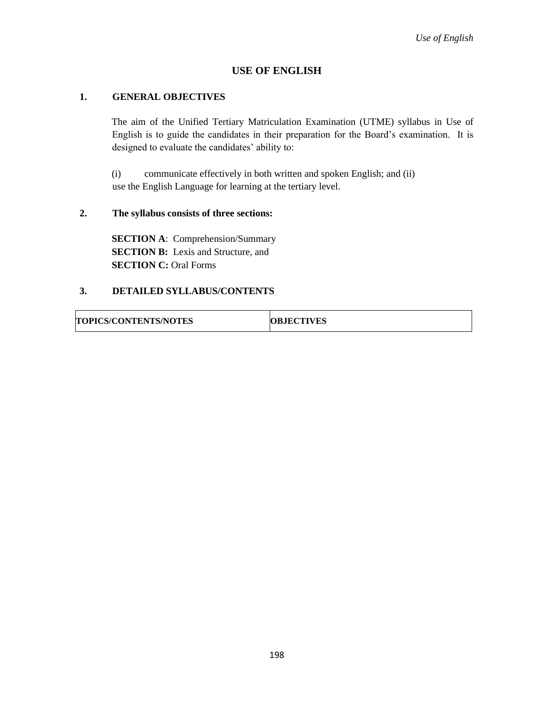# **USE OF ENGLISH**

### **1. GENERAL OBJECTIVES**

The aim of the Unified Tertiary Matriculation Examination (UTME) syllabus in Use of English is to guide the candidates in their preparation for the Board's examination. It is designed to evaluate the candidates' ability to:

(i) communicate effectively in both written and spoken English; and (ii) use the English Language for learning at the tertiary level.

### **2. The syllabus consists of three sections:**

**SECTION A**: Comprehension/Summary **SECTION B:** Lexis and Structure, and **SECTION C:** Oral Forms

## **3. DETAILED SYLLABUS/CONTENTS**

| <b>TOPICS/CONTENTS/NOTES</b> | <b>OBJECTIVES</b> |
|------------------------------|-------------------|
|------------------------------|-------------------|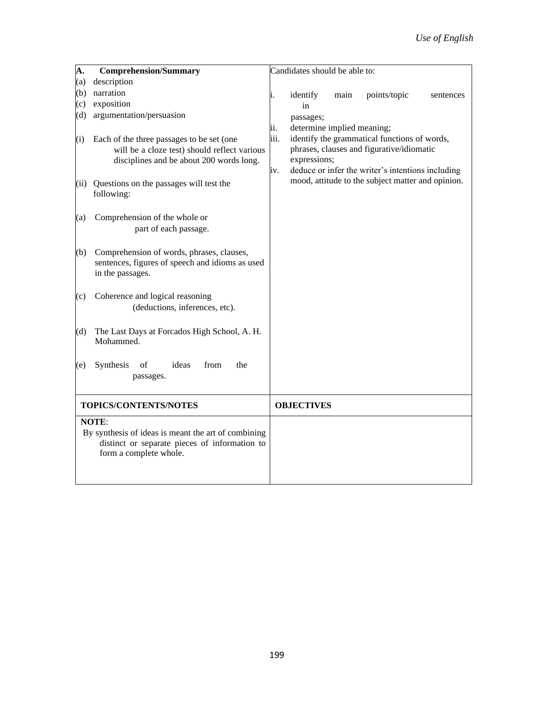| A.                                            | <b>Comprehension/Summary</b>                              |      | Candidates should be able to:                     |
|-----------------------------------------------|-----------------------------------------------------------|------|---------------------------------------------------|
| (a)                                           | description                                               |      |                                                   |
| (b)                                           | narration                                                 | 1.   | identify<br>points/topic<br>main<br>sentences     |
| (c)                                           | exposition                                                |      | in                                                |
| (d)                                           | argumentation/persuasion                                  |      | passages;                                         |
|                                               |                                                           | ii.  | determine implied meaning;                        |
| (i)                                           | Each of the three passages to be set (one                 | iii. | identify the grammatical functions of words,      |
|                                               | will be a cloze test) should reflect various              |      | phrases, clauses and figurative/idiomatic         |
|                                               | disciplines and be about 200 words long.                  |      | expressions;                                      |
|                                               |                                                           | iv.  | deduce or infer the writer's intentions including |
| (ii)                                          | Questions on the passages will test the<br>following:     |      | mood, attitude to the subject matter and opinion. |
| (a)                                           | Comprehension of the whole or                             |      |                                                   |
|                                               | part of each passage.                                     |      |                                                   |
|                                               |                                                           |      |                                                   |
| (b)                                           | Comprehension of words, phrases, clauses,                 |      |                                                   |
|                                               | sentences, figures of speech and idioms as used           |      |                                                   |
|                                               | in the passages.                                          |      |                                                   |
|                                               |                                                           |      |                                                   |
| (c)                                           | Coherence and logical reasoning                           |      |                                                   |
|                                               | (deductions, inferences, etc).                            |      |                                                   |
|                                               |                                                           |      |                                                   |
| (d)                                           | The Last Days at Forcados High School, A. H.<br>Mohammed. |      |                                                   |
| (e)                                           | Synthesis<br>of<br>ideas<br>from<br>the                   |      |                                                   |
|                                               | passages.                                                 |      |                                                   |
|                                               |                                                           |      |                                                   |
| TOPICS/CONTENTS/NOTES                         |                                                           |      | <b>OBJECTIVES</b>                                 |
|                                               | <b>NOTE:</b>                                              |      |                                                   |
|                                               | By synthesis of ideas is meant the art of combining       |      |                                                   |
| distinct or separate pieces of information to |                                                           |      |                                                   |
|                                               | form a complete whole.                                    |      |                                                   |
|                                               |                                                           |      |                                                   |
|                                               |                                                           |      |                                                   |
|                                               |                                                           |      |                                                   |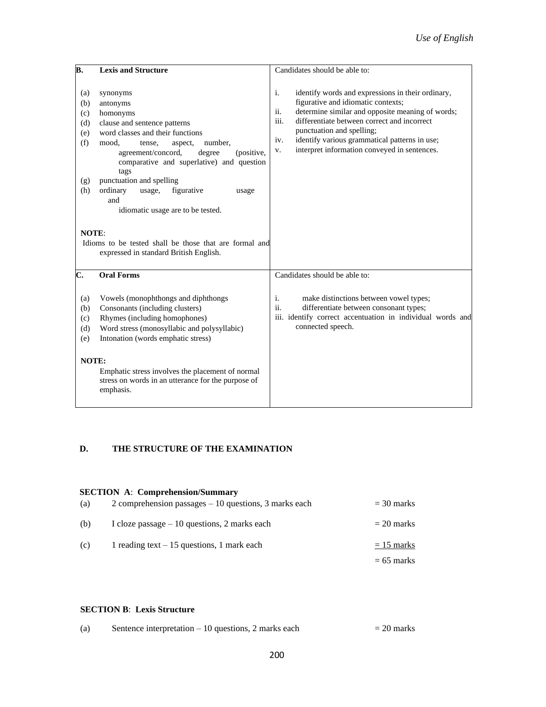| В.                                                                   | <b>Lexis and Structure</b>                                                                                                                                                                                                                                                                                                                                                                                                                                                | Candidates should be able to:                                                                                                                                                                                                                                                                                                                              |
|----------------------------------------------------------------------|---------------------------------------------------------------------------------------------------------------------------------------------------------------------------------------------------------------------------------------------------------------------------------------------------------------------------------------------------------------------------------------------------------------------------------------------------------------------------|------------------------------------------------------------------------------------------------------------------------------------------------------------------------------------------------------------------------------------------------------------------------------------------------------------------------------------------------------------|
| (a)<br>(b)<br>(c)<br>(d)<br>(e)<br>(f)<br>(g)<br>(h)<br><b>NOTE:</b> | synonyms<br>antonyms<br>homonyms<br>clause and sentence patterns<br>word classes and their functions<br>number.<br>mood,<br>aspect,<br>tense,<br>agreement/concord,<br>degree<br>(positive,<br>comparative and superlative) and question<br>tags<br>punctuation and spelling<br>ordinary<br>usage,<br>figurative<br>usage<br>and<br>idiomatic usage are to be tested.<br>Idioms to be tested shall be those that are formal and<br>expressed in standard British English. | i.<br>identify words and expressions in their ordinary,<br>figurative and idiomatic contexts;<br>ii.<br>determine similar and opposite meaning of words;<br>iii.<br>differentiate between correct and incorrect<br>punctuation and spelling;<br>identify various grammatical patterns in use;<br>iv.<br>interpret information conveyed in sentences.<br>V. |
| C.                                                                   | <b>Oral Forms</b>                                                                                                                                                                                                                                                                                                                                                                                                                                                         | Candidates should be able to:                                                                                                                                                                                                                                                                                                                              |
| (a)<br>(b)<br>(c)<br>(d)<br>(e)<br>NOTE:                             | Vowels (monophthongs and diphthongs<br>Consonants (including clusters)<br>Rhymes (including homophones)<br>Word stress (monosyllabic and polysyllabic)<br>Intonation (words emphatic stress)<br>Emphatic stress involves the placement of normal<br>stress on words in an utterance for the purpose of<br>emphasis.                                                                                                                                                       | i.<br>make distinctions between vowel types;<br>ii.<br>differentiate between consonant types;<br>iii. identify correct accentuation in individual words and<br>connected speech.                                                                                                                                                                           |

### **D. THE STRUCTURE OF THE EXAMINATION**

# **SECTION A**: **Comprehension/Summary**

| (a) | 2 comprehension passages $-10$ questions, 3 marks each | $=$ 30 marks |
|-----|--------------------------------------------------------|--------------|
| (b) | I cloze passage $-10$ questions, 2 marks each          | $= 20$ marks |
| (c) | 1 reading text $-15$ questions, 1 mark each            | $= 15$ marks |
|     |                                                        | $= 65$ marks |

#### **SECTION B**: **Lexis Structure**

| (a) | Sentence interpretation $-10$ questions, 2 marks each | $= 20$ marks |
|-----|-------------------------------------------------------|--------------|
|-----|-------------------------------------------------------|--------------|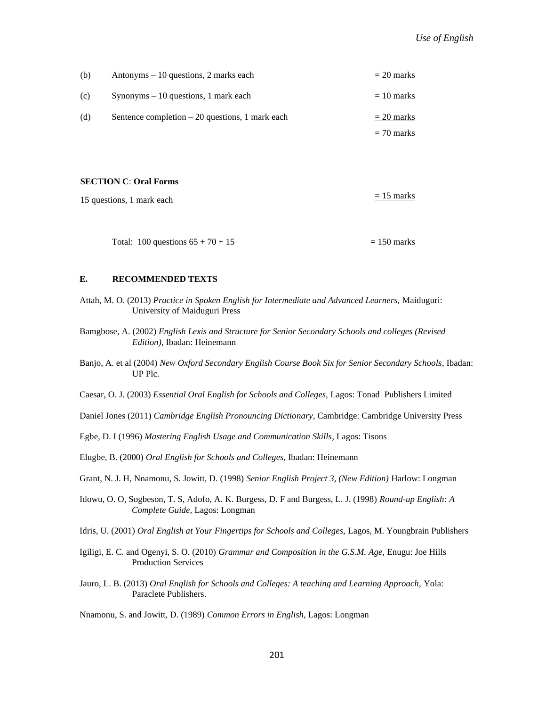| (b) | Antonyms $-10$ questions, 2 marks each           | $= 20$ marks |
|-----|--------------------------------------------------|--------------|
| (c) | $Synonyms - 10 questions, 1 mark each$           | $= 10$ marks |
| (d) | Sentence completion $-20$ questions, 1 mark each | $= 20$ marks |
|     |                                                  | $= 70$ marks |

#### **SECTION C**: **Oral Forms**

| 15 questions, 1 mark each | $= 15$ marks |
|---------------------------|--------------|
|                           |              |

Total:  $100$  questions  $65 + 70 + 15$  = 150 marks

#### **E. RECOMMENDED TEXTS**

- Attah, M. O. (2013) *Practice in Spoken English for Intermediate and Advanced Learners,* Maiduguri: University of Maiduguri Press
- Bamgbose, A. (2002) *English Lexis and Structure for Senior Secondary Schools and colleges (Revised Edition)*, Ibadan: Heinemann
- Banjo, A. et al (2004) *New Oxford Secondary English Course Book Six for Senior Secondary Schools*, Ibadan: UP Plc.

Caesar, O. J. (2003) *Essential Oral English for Schools and Colleges,* Lagos: Tonad Publishers Limited

Daniel Jones (2011) *Cambridge English Pronouncing Dictionary,* Cambridge: Cambridge University Press

Egbe, D. I (1996) *Mastering English Usage and Communication Skills*, Lagos: Tisons

Elugbe, B. (2000) *Oral English for Schools and Colleges,* Ibadan: Heinemann

- Grant, N. J. H, Nnamonu, S. Jowitt, D. (1998) *Senior English Project 3, (New Edition)* Harlow: Longman
- Idowu, O. O, Sogbeson, T. S, Adofo, A. K. Burgess, D. F and Burgess, L. J. (1998) *Round-up English: A Complete Guide,* Lagos: Longman

Idris, U. (2001) *Oral English at Your Fingertips for Schools and Colleges,* Lagos, M. Youngbrain Publishers

- Igiligi, E. C. and Ogenyi, S. O. (2010) *Grammar and Composition in the G.S.M. Age,* Enugu: Joe Hills Production Services
- Jauro, L. B. (2013) *Oral English for Schools and Colleges: A teaching and Learning Approach,* Yola: Paraclete Publishers.

Nnamonu, S. and Jowitt, D. (1989) *Common Errors in English,* Lagos: Longman